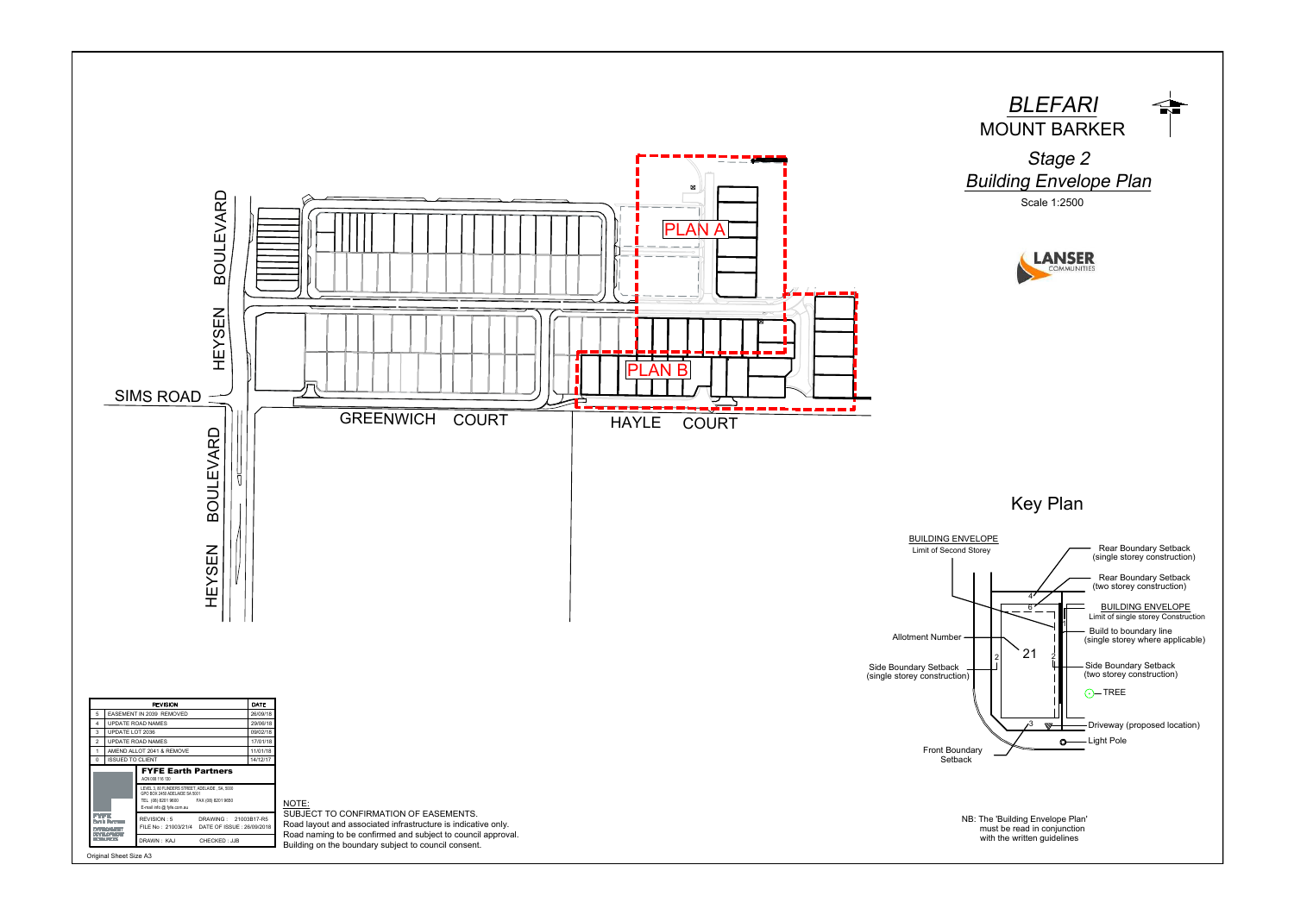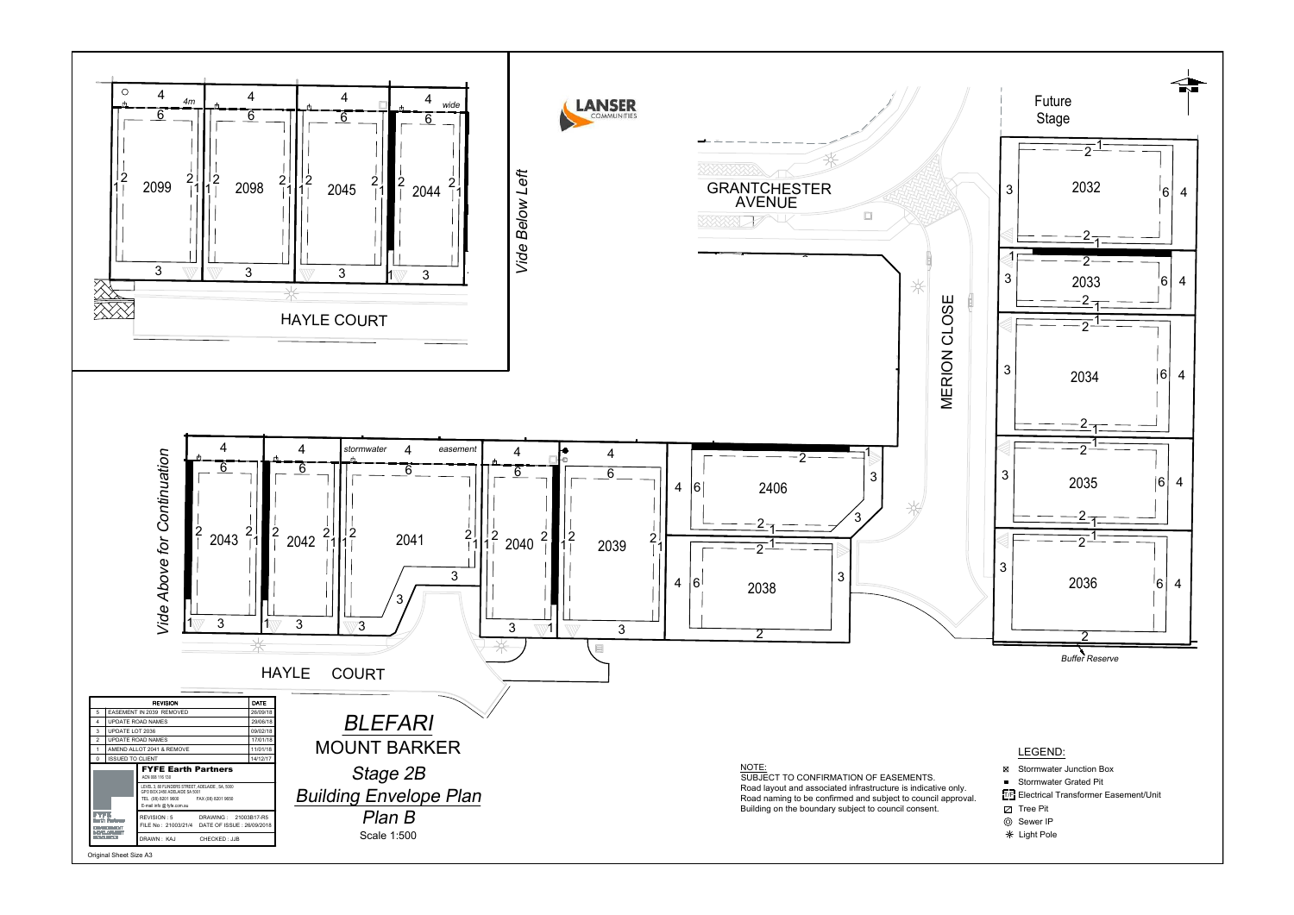